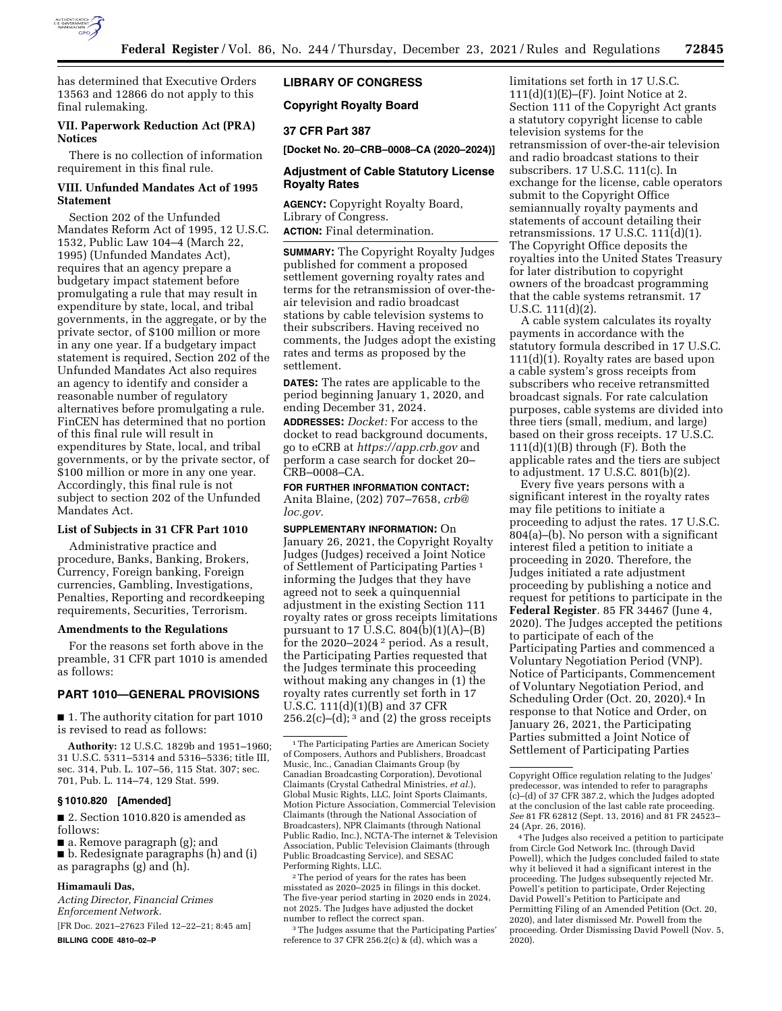

has determined that Executive Orders 13563 and 12866 do not apply to this final rulemaking.

#### **VII. Paperwork Reduction Act (PRA) Notices**

There is no collection of information requirement in this final rule.

### **VIII. Unfunded Mandates Act of 1995 Statement**

Section 202 of the Unfunded Mandates Reform Act of 1995, 12 U.S.C. 1532, Public Law 104–4 (March 22, 1995) (Unfunded Mandates Act), requires that an agency prepare a budgetary impact statement before promulgating a rule that may result in expenditure by state, local, and tribal governments, in the aggregate, or by the private sector, of \$100 million or more in any one year. If a budgetary impact statement is required, Section 202 of the Unfunded Mandates Act also requires an agency to identify and consider a reasonable number of regulatory alternatives before promulgating a rule. FinCEN has determined that no portion of this final rule will result in expenditures by State, local, and tribal governments, or by the private sector, of \$100 million or more in any one year. Accordingly, this final rule is not subject to section 202 of the Unfunded Mandates Act.

### **List of Subjects in 31 CFR Part 1010**

Administrative practice and procedure, Banks, Banking, Brokers, Currency, Foreign banking, Foreign currencies, Gambling, Investigations, Penalties, Reporting and recordkeeping requirements, Securities, Terrorism.

### **Amendments to the Regulations**

For the reasons set forth above in the preamble, 31 CFR part 1010 is amended as follows:

## **PART 1010—GENERAL PROVISIONS**

■ 1. The authority citation for part 1010 is revised to read as follows:

**Authority:** 12 U.S.C. 1829b and 1951–1960; 31 U.S.C. 5311–5314 and 5316–5336; title III, sec. 314, Pub. L. 107–56, 115 Stat. 307; sec. 701, Pub. L. 114–74, 129 Stat. 599.

### **§ 1010.820 [Amended]**

■ 2. Section 1010.820 is amended as follows:

■ a. Remove paragraph (g); and

■ b. Redesignate paragraphs (h) and (i) as paragraphs (g) and (h).

#### **Himamauli Das,**

*Acting Director, Financial Crimes Enforcement Network.* 

[FR Doc. 2021–27623 Filed 12–22–21; 8:45 am] **BILLING CODE 4810–02–P** 

## **LIBRARY OF CONGRESS**

**Copyright Royalty Board** 

## **37 CFR Part 387**

**[Docket No. 20–CRB–0008–CA (2020–2024)]** 

### **Adjustment of Cable Statutory License Royalty Rates**

**AGENCY:** Copyright Royalty Board, Library of Congress. **ACTION:** Final determination.

**SUMMARY:** The Copyright Royalty Judges published for comment a proposed settlement governing royalty rates and terms for the retransmission of over-theair television and radio broadcast stations by cable television systems to their subscribers. Having received no comments, the Judges adopt the existing rates and terms as proposed by the settlement.

**DATES:** The rates are applicable to the period beginning January 1, 2020, and ending December 31, 2024.

**ADDRESSES:** *Docket:* For access to the docket to read background documents, go to eCRB at *<https://app.crb.gov>* and perform a case search for docket 20– CRB–0008–CA.

**FOR FURTHER INFORMATION CONTACT:**  Anita Blaine, (202) 707–7658, *[crb@](mailto:crb@loc.gov) [loc.gov.](mailto:crb@loc.gov)* 

**SUPPLEMENTARY INFORMATION:** On January 26, 2021, the Copyright Royalty Judges (Judges) received a Joint Notice of Settlement of Participating Parties<sup>1</sup> informing the Judges that they have agreed not to seek a quinquennial adjustment in the existing Section 111 royalty rates or gross receipts limitations pursuant to 17 U.S.C.  $804(b)(1)(A)$ –(B) for the 2020–2024 2 period. As a result, the Participating Parties requested that the Judges terminate this proceeding without making any changes in (1) the royalty rates currently set forth in 17 U.S.C. 111(d)(1)(B) and 37 CFR  $256.2(c)$ –(d); <sup>3</sup> and (2) the gross receipts

2The period of years for the rates has been misstated as 2020–2025 in filings in this docket. The five-year period starting in 2020 ends in 2024, not 2025. The Judges have adjusted the docket number to reflect the correct span.

<sup>3</sup>The Judges assume that the Participating Parties' reference to 37 CFR 256.2(c) & (d), which was a

limitations set forth in 17 U.S.C.  $111(d)(1)(E)$ –(F). Joint Notice at 2. Section 111 of the Copyright Act grants a statutory copyright license to cable television systems for the retransmission of over-the-air television and radio broadcast stations to their subscribers. 17 U.S.C. 111(c). In exchange for the license, cable operators submit to the Copyright Office semiannually royalty payments and statements of account detailing their retransmissions.  $17 \text{ U.S.C. } 111\text{ (d)}(1)$ . The Copyright Office deposits the royalties into the United States Treasury for later distribution to copyright owners of the broadcast programming that the cable systems retransmit. 17 U.S.C. 111(d)(2).

A cable system calculates its royalty payments in accordance with the statutory formula described in 17 U.S.C. 111(d)(1). Royalty rates are based upon a cable system's gross receipts from subscribers who receive retransmitted broadcast signals. For rate calculation purposes, cable systems are divided into three tiers (small, medium, and large) based on their gross receipts. 17 U.S.C.  $111(d)(1)(B)$  through  $(F)$ . Both the applicable rates and the tiers are subject to adjustment. 17 U.S.C. 801(b)(2).

Every five years persons with a significant interest in the royalty rates may file petitions to initiate a proceeding to adjust the rates. 17 U.S.C. 804(a)–(b). No person with a significant interest filed a petition to initiate a proceeding in 2020. Therefore, the Judges initiated a rate adjustment proceeding by publishing a notice and request for petitions to participate in the **Federal Register**. 85 FR 34467 (June 4, 2020). The Judges accepted the petitions to participate of each of the Participating Parties and commenced a Voluntary Negotiation Period (VNP). Notice of Participants, Commencement of Voluntary Negotiation Period, and Scheduling Order (Oct. 20, 2020).<sup>4</sup> In response to that Notice and Order, on January 26, 2021, the Participating Parties submitted a Joint Notice of Settlement of Participating Parties

<sup>&</sup>lt;sup>1</sup>The Participating Parties are American Society of Composers, Authors and Publishers, Broadcast Music, Inc., Canadian Claimants Group (by Canadian Broadcasting Corporation), Devotional Claimants (Crystal Cathedral Ministries, *et al.*), Global Music Rights, LLC, Joint Sports Claimants, Motion Picture Association, Commercial Television Claimants (through the National Association of Broadcasters), NPR Claimants (through National Public Radio, Inc.), NCTA-The internet & Television Association, Public Television Claimants (through Public Broadcasting Service), and SESAC Performing Rights, LLC.

Copyright Office regulation relating to the Judges' predecessor, was intended to refer to paragraphs  $(c)$ –(d) of 37 CFR 387.2, which the Judges adopted at the conclusion of the last cable rate proceeding. *See* 81 FR 62812 (Sept. 13, 2016) and 81 FR 24523– 24 (Apr. 26, 2016).

<sup>4</sup>The Judges also received a petition to participate from Circle God Network Inc. (through David Powell), which the Judges concluded failed to state why it believed it had a significant interest in the proceeding. The Judges subsequently rejected Mr. Powell's petition to participate, Order Rejecting David Powell's Petition to Participate and Permitting Filing of an Amended Petition (Oct. 20, 2020), and later dismissed Mr. Powell from the proceeding. Order Dismissing David Powell (Nov. 5,  $2020$ ).